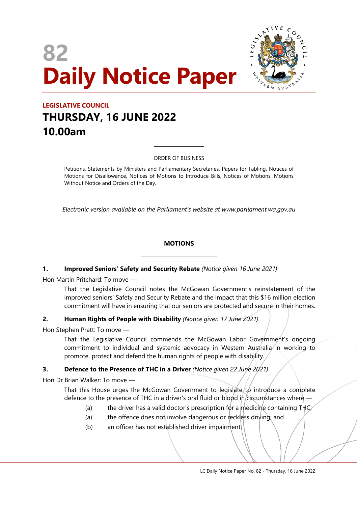# **82 Daily Notice Paper**



## **LEGISLATIVE COUNCIL THURSDAY, 16 JUNE 2022 10.00am**

ORDER OF BUSINESS

 $\overline{a}$ 

 $\overline{a}$ 

 $\overline{\phantom{a}}$ 

 $\overline{\phantom{a}}$ 

Petitions, Statements by Ministers and Parliamentary Secretaries, Papers for Tabling, Notices of Motions for Disallowance, Notices of Motions to Introduce Bills, Notices of Motions, Motions Without Notice and Orders of the Day.

*Electronic version available on the Parliament's website at www.parliament.wa.gov.au*

## **MOTIONS**

## **1. Improved Seniors' Safety and Security Rebate** *(Notice given 16 June 2021)*

Hon Martin Pritchard: To move —

That the Legislative Council notes the McGowan Government's reinstatement of the improved seniors' Safety and Security Rebate and the impact that this \$16 million election commitment will have in ensuring that our seniors are protected and secure in their homes.

## **2. Human Rights of People with Disability** *(Notice given 17 June 2021)*

Hon Stephen Pratt: To move —

That the Legislative Council commends the McGowan Labor Government's ongoing commitment to individual and systemic advocacy in Western Australia in working to promote, protect and defend the human rights of people with disability.

## **3. Defence to the Presence of THC in a Driver** *(Notice given 22 June 2021)*

Hon Dr Brian Walker: To move —

That this House urges the McGowan Government to legislate to introduce a complete defence to the presence of THC in a driver's oral fluid or blood in circumstances where

- (a) the driver has a valid doctor's prescription for a medicine containing THC;
- (a) the offence does not involve dangerous or reckless driving; and
- (b) an officer has not established driver impairment.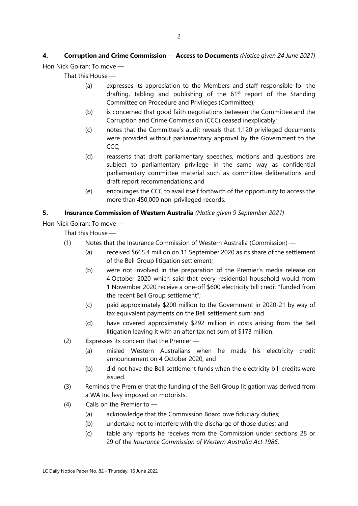# **4. Corruption and Crime Commission — Access to Documents** *(Notice given 24 June 2021)*

Hon Nick Goiran: To move —

That this House —

- (a) expresses its appreciation to the Members and staff responsible for the drafting, tabling and publishing of the  $61<sup>st</sup>$  report of the Standing Committee on Procedure and Privileges (Committee);
- (b) is concerned that good faith negotiations between the Committee and the Corruption and Crime Commission (CCC) ceased inexplicably;
- (c) notes that the Committee's audit reveals that 1,120 privileged documents were provided without parliamentary approval by the Government to the CCC;
- (d) reasserts that draft parliamentary speeches, motions and questions are subject to parliamentary privilege in the same way as confidential parliamentary committee material such as committee deliberations and draft report recommendations; and
- (e) encourages the CCC to avail itself forthwith of the opportunity to access the more than 450,000 non-privileged records.

## **5. Insurance Commission of Western Australia** *(Notice given 9 September 2021)*

Hon Nick Goiran: To move —

- (1) Notes that the Insurance Commission of Western Australia (Commission)
	- (a) received \$665.4 million on 11 September 2020 as its share of the settlement of the Bell Group litigation settlement;
	- (b) were not involved in the preparation of the Premier's media release on 4 October 2020 which said that every residential household would from 1 November 2020 receive a one-off \$600 electricity bill credit "funded from the recent Bell Group settlement";
	- (c) paid approximately \$200 million to the Government in 2020-21 by way of tax equivalent payments on the Bell settlement sum; and
	- (d) have covered approximately \$292 million in costs arising from the Bell litigation leaving it with an after tax net sum of \$173 million.
- (2) Expresses its concern that the Premier
	- (a) misled Western Australians when he made his electricity credit announcement on 4 October 2020; and
	- (b) did not have the Bell settlement funds when the electricity bill credits were issued.
- (3) Reminds the Premier that the funding of the Bell Group litigation was derived from a WA Inc levy imposed on motorists.
- (4) Calls on the Premier to
	- (a) acknowledge that the Commission Board owe fiduciary duties;
	- (b) undertake not to interfere with the discharge of those duties; and
	- (c) table any reports he receives from the Commission under sections 28 or 29 of the *Insurance Commission of Western Australia Act 1986*.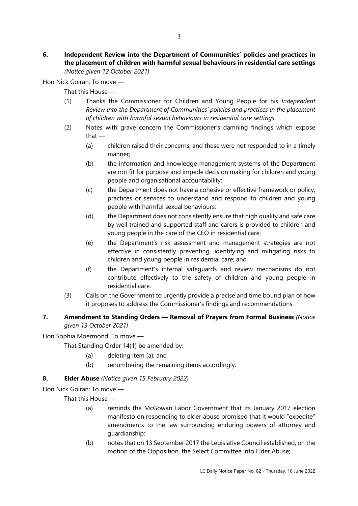Hon Nick Goiran: To move —

That this House —

- (1) Thanks the Commissioner for Children and Young People for his *Independent Review into the Department of Communities' policies and practices in the placement of children with harmful sexual behaviours in residential care settings*.
- (2) Notes with grave concern the Commissioner's damning findings which expose that —
	- (a) children raised their concerns, and these were not responded to in a timely manner;
	- (b) the information and knowledge management systems of the Department are not fit for purpose and impede decision making for children and young people and organisational accountability;
	- (c) the Department does not have a cohesive or effective framework or policy, practices or services to understand and respond to children and young people with harmful sexual behaviours;
	- (d) the Department does not consistently ensure that high quality and safe care by well trained and supported staff and carers is provided to children and young people in the care of the CEO in residential care;
	- (e) the Department's risk assessment and management strategies are not effective in consistently preventing, identifying and mitigating risks to children and young people in residential care; and
	- (f) the Department's internal safeguards and review mechanisms do not contribute effectively to the safety of children and young people in residential care.
- (3) Calls on the Government to urgently provide a precise and time bound plan of how it proposes to address the Commissioner's findings and recommendations.

## **7. Amendment to Standing Orders — Removal of Prayers from Formal Business** *(Notice given 13 October 2021)*

Hon Sophia Moermond: To move —

That Standing Order 14(1) be amended by:

- (a) deleting item (a); and
- (b) renumbering the remaining items accordingly.

## **8. Elder Abuse** *(Notice given 15 February 2022)*

Hon Nick Goiran: To move —

- (a) reminds the McGowan Labor Government that its January 2017 election manifesto on responding to elder abuse promised that it would "expedite" amendments to the law surrounding enduring powers of attorney and guardianship;
- (b) notes that on 13 September 2017 the Legislative Council established, on the motion of the Opposition, the Select Committee into Elder Abuse;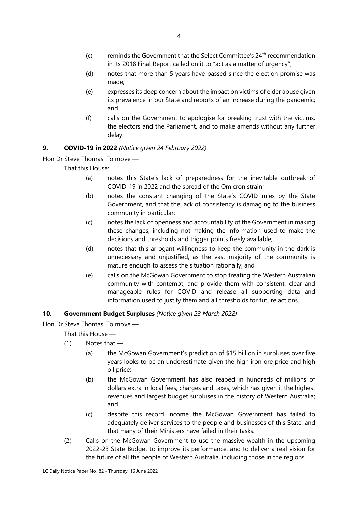- $(c)$  reminds the Government that the Select Committee's  $24<sup>th</sup>$  recommendation in its 2018 Final Report called on it to "act as a matter of urgency";
- (d) notes that more than 5 years have passed since the election promise was made;
- (e) expresses its deep concern about the impact on victims of elder abuse given its prevalence in our State and reports of an increase during the pandemic; and
- (f) calls on the Government to apologise for breaking trust with the victims, the electors and the Parliament, and to make amends without any further delay.

## **9. COVID-19 in 2022** *(Notice given 24 February 2022)*

Hon Dr Steve Thomas: To move —

That this House:

- (a) notes this State's lack of preparedness for the inevitable outbreak of COVID-19 in 2022 and the spread of the Omicron strain;
- (b) notes the constant changing of the State's COVID rules by the State Government, and that the lack of consistency is damaging to the business community in particular;
- (c) notes the lack of openness and accountability of the Government in making these changes, including not making the information used to make the decisions and thresholds and trigger points freely available;
- (d) notes that this arrogant willingness to keep the community in the dark is unnecessary and unjustified, as the vast majority of the community is mature enough to assess the situation rationally; and
- (e) calls on the McGowan Government to stop treating the Western Australian community with contempt, and provide them with consistent, clear and manageable rules for COVID and release all supporting data and information used to justify them and all thresholds for future actions.

## **10. Government Budget Surpluses** *(Notice given 23 March 2022)*

Hon Dr Steve Thomas: To move —

- $(1)$  Notes that
	- (a) the McGowan Government's prediction of \$15 billion in surpluses over five years looks to be an underestimate given the high iron ore price and high oil price;
	- (b) the McGowan Government has also reaped in hundreds of millions of dollars extra in local fees, charges and taxes, which has given it the highest revenues and largest budget surpluses in the history of Western Australia; and
	- (c) despite this record income the McGowan Government has failed to adequately deliver services to the people and businesses of this State, and that many of their Ministers have failed in their tasks.
- (2) Calls on the McGowan Government to use the massive wealth in the upcoming 2022-23 State Budget to improve its performance, and to deliver a real vision for the future of all the people of Western Australia, including those in the regions.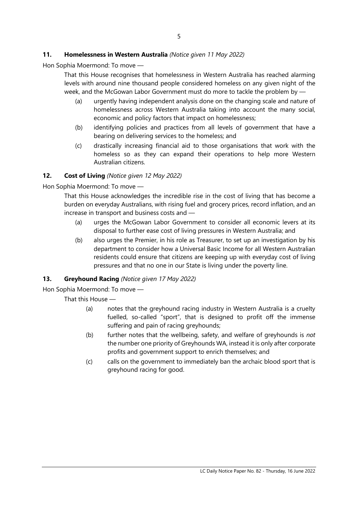## **11. Homelessness in Western Australia** *(Notice given 11 May 2022)*

Hon Sophia Moermond: To move —

That this House recognises that homelessness in Western Australia has reached alarming levels with around nine thousand people considered homeless on any given night of the week, and the McGowan Labor Government must do more to tackle the problem by —

- (a) urgently having independent analysis done on the changing scale and nature of homelessness across Western Australia taking into account the many social, economic and policy factors that impact on homelessness;
- (b) identifying policies and practices from all levels of government that have a bearing on delivering services to the homeless; and
- (c) drastically increasing financial aid to those organisations that work with the homeless so as they can expand their operations to help more Western Australian citizens.

## **12. Cost of Living** *(Notice given 12 May 2022)*

Hon Sophia Moermond: To move —

That this House acknowledges the incredible rise in the cost of living that has become a burden on everyday Australians, with rising fuel and grocery prices, record inflation, and an increase in transport and business costs and —

- (a) urges the McGowan Labor Government to consider all economic levers at its disposal to further ease cost of living pressures in Western Australia; and
- (b) also urges the Premier, in his role as Treasurer, to set up an investigation by his department to consider how a Universal Basic Income for all Western Australian residents could ensure that citizens are keeping up with everyday cost of living pressures and that no one in our State is living under the poverty line.

## **13. Greyhound Racing** *(Notice given 17 May 2022)*

Hon Sophia Moermond: To move —

- (a) notes that the greyhound racing industry in Western Australia is a cruelty fuelled, so-called "sport", that is designed to profit off the immense suffering and pain of racing greyhounds;
- (b) further notes that the wellbeing, safety, and welfare of greyhounds is *not*  the number one priority of Greyhounds WA, instead it is only after corporate profits and government support to enrich themselves; and
- (c) calls on the government to immediately ban the archaic blood sport that is greyhound racing for good.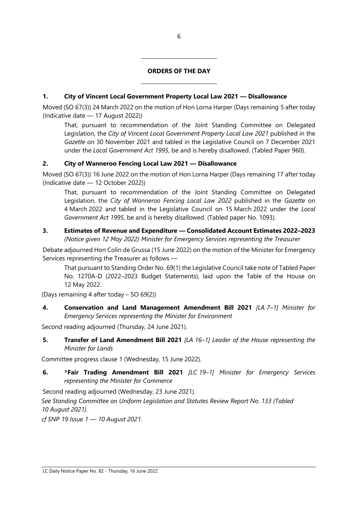## **ORDERS OF THE DAY**

## **1. City of Vincent Local Government Property Local Law 2021 — Disallowance**

Moved (SO 67(3)) 24 March 2022 on the motion of Hon Lorna Harper (Days remaining 5 after today (Indicative date — 17 August 2022))

That, pursuant to recommendation of the Joint Standing Committee on Delegated Legislation, the *City of Vincent Local Government Property Local Law 2021* published in the *Gazette* on 30 November 2021 and tabled in the Legislative Council on 7 December 2021 under the *Local Government Act 1995*, be and is hereby disallowed. (Tabled Paper 960).

## **2. City of Wanneroo Fencing Local Law 2021 — Disallowance**

 $\overline{a}$ 

 $\overline{\phantom{a}}$ 

Moved (SO 67(3)) 16 June 2022 on the motion of Hon Lorna Harper (Days remaining 17 after today (Indicative date — 12 October 2022))

That, pursuant to recommendation of the Joint Standing Committee on Delegated Legislation, the *City of Wanneroo Fencing Local Law 2022* published in the *Gazette* on 4 March 2022 and tabled in the Legislative Council on 15 March 2022 under the *Local Government Act 1995*, be and is hereby disallowed. (Tabled paper No. 1093).

## **3. Estimates of Revenue and Expenditure — Consolidated Account Estimates 2022–2023**

*(Notice given 12 May 2022) Minister for Emergency Services representing the Treasurer*

Debate adjourned Hon Colin de Grussa (15 June 2022) on the motion of the Minister for Emergency Services representing the Treasurer as follows —

That pursuant to Standing Order No. 69(1) the Legislative Council take note of Tabled Paper No. 1270A-D (2022–2023 Budget Statements), laid upon the Table of the House on 12 May 2022.

(Days remaining 4 after today – SO 69(2))

**4. Conservation and Land Management Amendment Bill 2021** *[LA 7–1] Minister for Emergency Services representing the Minister for Environment*

Second reading adjourned (Thursday, 24 June 2021).

**5. Transfer of Land Amendment Bill 2021** *[LA 16–1] Leader of the House representing the Minister for Lands*

Committee progress clause 1 (Wednesday, 15 June 2022).

**6. \*Fair Trading Amendment Bill 2021** *[LC 19–1] Minister for Emergency Services representing the Minister for Commerce*

Second reading adjourned (Wednesday, 23 June 2021).

*See Standing Committee on Uniform Legislation and Statutes Review Report No. 133 (Tabled 10 August 2021).*

*cf SNP 19 Issue 1 — 10 August 2021.*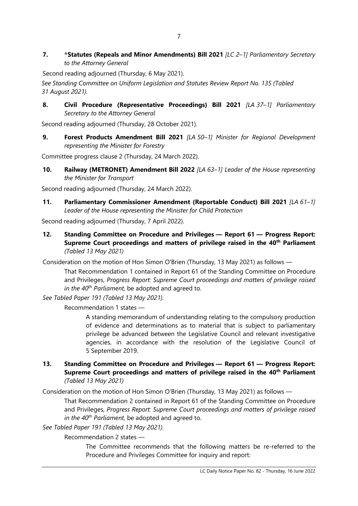**7. \*Statutes (Repeals and Minor Amendments) Bill 2021** *[LC 2–1] Parliamentary Secretary to the Attorney General*

Second reading adjourned (Thursday, 6 May 2021).

*See Standing Committee on Uniform Legislation and Statutes Review Report No. 135 (Tabled 31 August 2021).*

**8. Civil Procedure (Representative Proceedings) Bill 2021** *[LA 37–1] Parliamentary Secretary to the Attorney General*

Second reading adjourned (Thursday, 28 October 2021).

**9. Forest Products Amendment Bill 2021** *[LA 50–1] Minister for Regional Development representing the Minister for Forestry*

Committee progress clause 2 (Thursday, 24 March 2022).

**10. Railway (METRONET) Amendment Bill 2022** *[LA 63–1] Leader of the House representing the Minister for Transport*

Second reading adjourned (Thursday, 24 March 2022).

**11. Parliamentary Commissioner Amendment (Reportable Conduct) Bill 2021** *[LA 61–1] Leader of the House representing the Minister for Child Protection*

Second reading adjourned (Thursday, 7 April 2022).

**12. Standing Committee on Procedure and Privileges — Report 61 — Progress Report: Supreme Court proceedings and matters of privilege raised in the 40th Parliament** *(Tabled 13 May 2021)*

Consideration on the motion of Hon Simon O'Brien (Thursday, 13 May 2021) as follows —

That Recommendation 1 contained in Report 61 of the Standing Committee on Procedure and Privileges, *Progress Report: Supreme Court proceedings and matters of privilege raised in the 40th Parliament,* be adopted and agreed to.

*See Tabled Paper 191 (Tabled 13 May 2021).*

Recommendation 1 states —

A standing memorandum of understanding relating to the compulsory production of evidence and determinations as to material that is subject to parliamentary privilege be advanced between the Legislative Council and relevant investigative agencies, in accordance with the resolution of the Legislative Council of 5 September 2019.

**13. Standing Committee on Procedure and Privileges — Report 61 — Progress Report: Supreme Court proceedings and matters of privilege raised in the 40th Parliament** *(Tabled 13 May 2021)*

Consideration on the motion of Hon Simon O'Brien (Thursday, 13 May 2021) as follows —

That Recommendation 2 contained in Report 61 of the Standing Committee on Procedure and Privileges, *Progress Report: Supreme Court proceedings and matters of privilege raised in the 40th Parliament,* be adopted and agreed to.

*See Tabled Paper 191 (Tabled 13 May 2021).*

Recommendation 2 states —

The Committee recommends that the following matters be re-referred to the Procedure and Privileges Committee for inquiry and report: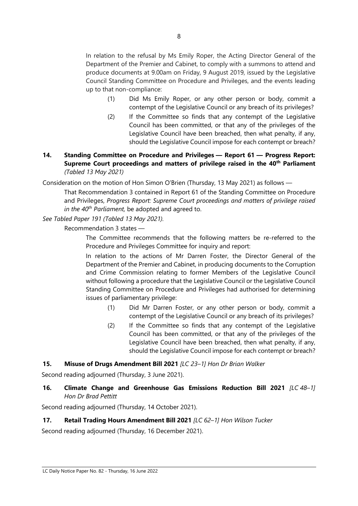In relation to the refusal by Ms Emily Roper, the Acting Director General of the Department of the Premier and Cabinet, to comply with a summons to attend and produce documents at 9.00am on Friday, 9 August 2019, issued by the Legislative Council Standing Committee on Procedure and Privileges, and the events leading up to that non-compliance:

- (1) Did Ms Emily Roper, or any other person or body, commit a contempt of the Legislative Council or any breach of its privileges?
- (2) If the Committee so finds that any contempt of the Legislative Council has been committed, or that any of the privileges of the Legislative Council have been breached, then what penalty, if any, should the Legislative Council impose for each contempt or breach?

## **14. Standing Committee on Procedure and Privileges — Report 61 — Progress Report: Supreme Court proceedings and matters of privilege raised in the 40th Parliament** *(Tabled 13 May 2021)*

Consideration on the motion of Hon Simon O'Brien (Thursday, 13 May 2021) as follows —

That Recommendation 3 contained in Report 61 of the Standing Committee on Procedure and Privileges, *Progress Report: Supreme Court proceedings and matters of privilege raised in the 40th Parliament,* be adopted and agreed to.

*See Tabled Paper 191 (Tabled 13 May 2021).*

Recommendation 3 states —

The Committee recommends that the following matters be re-referred to the Procedure and Privileges Committee for inquiry and report:

In relation to the actions of Mr Darren Foster, the Director General of the Department of the Premier and Cabinet, in producing documents to the Corruption and Crime Commission relating to former Members of the Legislative Council without following a procedure that the Legislative Council or the Legislative Council Standing Committee on Procedure and Privileges had authorised for determining issues of parliamentary privilege:

- (1) Did Mr Darren Foster, or any other person or body, commit a contempt of the Legislative Council or any breach of its privileges?
- (2) If the Committee so finds that any contempt of the Legislative Council has been committed, or that any of the privileges of the Legislative Council have been breached, then what penalty, if any, should the Legislative Council impose for each contempt or breach?

## **15. Misuse of Drugs Amendment Bill 2021** *[LC 23–1] Hon Dr Brian Walker*

Second reading adjourned (Thursday, 3 June 2021).

**16. Climate Change and Greenhouse Gas Emissions Reduction Bill 2021** *[LC 48–1] Hon Dr Brad Pettitt*

Second reading adjourned (Thursday, 14 October 2021).

## **17. Retail Trading Hours Amendment Bill 2021** *[LC 62–1] Hon Wilson Tucker*

Second reading adjourned (Thursday, 16 December 2021).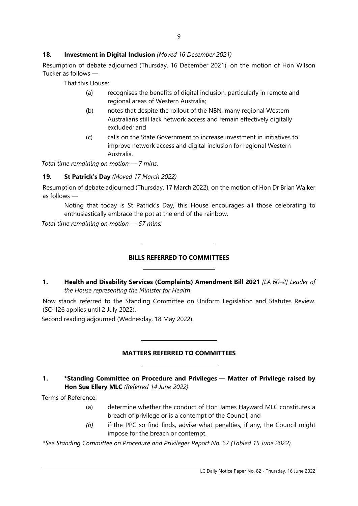## **18. Investment in Digital Inclusion** *(Moved 16 December 2021)*

Resumption of debate adjourned (Thursday, 16 December 2021), on the motion of Hon Wilson Tucker as follows —

That this House:

- (a) recognises the benefits of digital inclusion, particularly in remote and regional areas of Western Australia;
- (b) notes that despite the rollout of the NBN, many regional Western Australians still lack network access and remain effectively digitally excluded; and
- (c) calls on the State Government to increase investment in initiatives to improve network access and digital inclusion for regional Western Australia.

*Total time remaining on motion — 7 mins.*

## **19. St Patrick's Day** *(Moved 17 March 2022)*

Resumption of debate adjourned (Thursday, 17 March 2022), on the motion of Hon Dr Brian Walker as follows —

Noting that today is St Patrick's Day, this House encourages all those celebrating to enthusiastically embrace the pot at the end of the rainbow.

*Total time remaining on motion — 57 mins.*

## **BILLS REFERRED TO COMMITTEES**

 $\overline{a}$ 

 $\overline{a}$ 

 $\overline{\phantom{a}}$ 

 $\overline{a}$ 

## **1. Health and Disability Services (Complaints) Amendment Bill 2021** *[LA 60–2] Leader of the House representing the Minister for Health*

Now stands referred to the Standing Committee on Uniform Legislation and Statutes Review. (SO 126 applies until 2 July 2022).

Second reading adjourned (Wednesday, 18 May 2022).

## **MATTERS REFERRED TO COMMITTEES**

## **1. \*Standing Committee on Procedure and Privileges — Matter of Privilege raised by Hon Sue Ellery MLC** *(Referred 14 June 2022)*

Terms of Reference:

- (a) determine whether the conduct of Hon James Hayward MLC constitutes a breach of privilege or is a contempt of the Council; and
- *(b)* if the PPC so find finds, advise what penalties, if any, the Council might impose for the breach or contempt.

*\*See Standing Committee on Procedure and Privileges Report No. 67 (Tabled 15 June 2022).*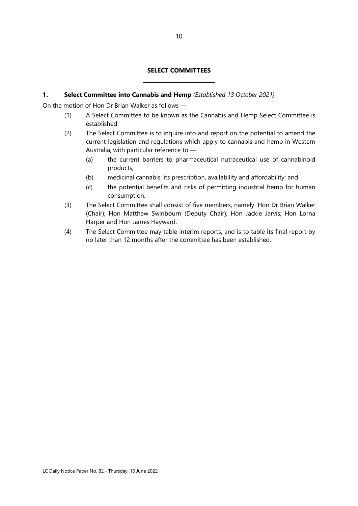## **SELECT COMMITTEES**

#### **1. Select Committee into Cannabis and Hemp** *(Established 13 October 2021)*

 $\overline{a}$ 

 $\overline{a}$ 

On the motion of Hon Dr Brian Walker as follows —

- (1) A Select Committee to be known as the Cannabis and Hemp Select Committee is established.
- (2) The Select Committee is to inquire into and report on the potential to amend the current legislation and regulations which apply to cannabis and hemp in Western Australia, with particular reference to —
	- (a) the current barriers to pharmaceutical nutraceutical use of cannabinoid products;
	- (b) medicinal cannabis, its prescription, availability and affordability; and
	- (c) the potential benefits and risks of permitting industrial hemp for human consumption.
- (3) The Select Committee shall consist of five members, namely: Hon Dr Brian Walker (Chair); Hon Matthew Swinbourn (Deputy Chair); Hon Jackie Jarvis; Hon Lorna Harper and Hon James Hayward.
- (4) The Select Committee may table interim reports, and is to table its final report by no later than 12 months after the committee has been established.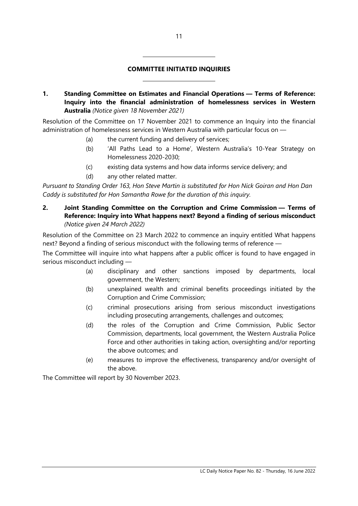## **COMMITTEE INITIATED INQUIRIES**

**1. Standing Committee on Estimates and Financial Operations — Terms of Reference: Inquiry into the financial administration of homelessness services in Western Australia** *(Notice given 18 November 2021)*

Resolution of the Committee on 17 November 2021 to commence an Inquiry into the financial administration of homelessness services in Western Australia with particular focus on —

(a) the current funding and delivery of services;

 $\overline{a}$ 

 $\overline{a}$ 

- (b) 'All Paths Lead to a Home', Western Australia's 10-Year Strategy on Homelessness 2020-2030;
- (c) existing data systems and how data informs service delivery; and
- (d) any other related matter.

*Pursuant to Standing Order 163, Hon Steve Martin is substituted for Hon Nick Goiran and Hon Dan Caddy is substituted for Hon Samantha Rowe for the duration of this inquiry.*

**2. Joint Standing Committee on the Corruption and Crime Commission — Terms of Reference: Inquiry into What happens next? Beyond a finding of serious misconduct** *(Notice given 24 March 2022)*

Resolution of the Committee on 23 March 2022 to commence an inquiry entitled What happens next? Beyond a finding of serious misconduct with the following terms of reference —

The Committee will inquire into what happens after a public officer is found to have engaged in serious misconduct including —

- (a) disciplinary and other sanctions imposed by departments, local government, the Western;
- (b) unexplained wealth and criminal benefits proceedings initiated by the Corruption and Crime Commission;
- (c) criminal prosecutions arising from serious misconduct investigations including prosecuting arrangements, challenges and outcomes;
- (d) the roles of the Corruption and Crime Commission, Public Sector Commission, departments, local government, the Western Australia Police Force and other authorities in taking action, oversighting and/or reporting the above outcomes; and
- (e) measures to improve the effectiveness, transparency and/or oversight of the above.

The Committee will report by 30 November 2023.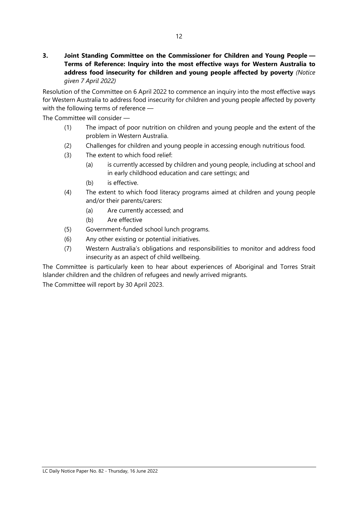**3. Joint Standing Committee on the Commissioner for Children and Young People — Terms of Reference: Inquiry into the most effective ways for Western Australia to address food insecurity for children and young people affected by poverty** *(Notice given 7 April 2022)*

Resolution of the Committee on 6 April 2022 to commence an inquiry into the most effective ways for Western Australia to address food insecurity for children and young people affected by poverty with the following terms of reference —

The Committee will consider —

- (1) The impact of poor nutrition on children and young people and the extent of the problem in Western Australia.
- (2) Challenges for children and young people in accessing enough nutritious food.
- (3) The extent to which food relief:
	- (a) is currently accessed by children and young people, including at school and in early childhood education and care settings; and
	- (b) is effective.
- (4) The extent to which food literacy programs aimed at children and young people and/or their parents/carers:
	- (a) Are currently accessed; and
	- (b) Are effective
- (5) Government-funded school lunch programs.
- (6) Any other existing or potential initiatives.
- (7) Western Australia's obligations and responsibilities to monitor and address food insecurity as an aspect of child wellbeing.

The Committee is particularly keen to hear about experiences of Aboriginal and Torres Strait Islander children and the children of refugees and newly arrived migrants.

The Committee will report by 30 April 2023.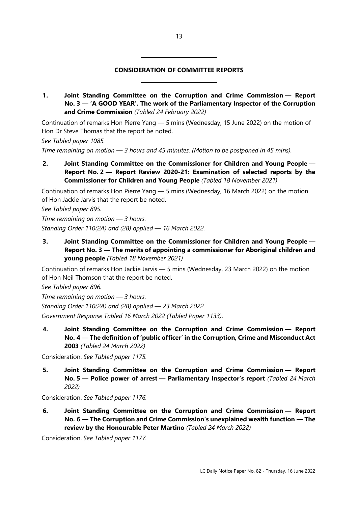## **CONSIDERATION OF COMMITTEE REPORTS**

 $\overline{\phantom{a}}$ 

 $\overline{\phantom{a}}$ 

**1. Joint Standing Committee on the Corruption and Crime Commission — Report No. 3 — 'A GOOD YEAR'. The work of the Parliamentary Inspector of the Corruption and Crime Commission** *(Tabled 24 February 2022)*

Continuation of remarks Hon Pierre Yang — 5 mins (Wednesday, 15 June 2022) on the motion of Hon Dr Steve Thomas that the report be noted.

*See Tabled paper 1085.*

*Time remaining on motion — 3 hours and 45 minutes. (Motion to be postponed in 45 mins).*

**2. Joint Standing Committee on the Commissioner for Children and Young People — Report No. 2 — Report Review 2020-21: Examination of selected reports by the Commissioner for Children and Young People** *(Tabled 18 November 2021)*

Continuation of remarks Hon Pierre Yang — 5 mins (Wednesday, 16 March 2022) on the motion of Hon Jackie Jarvis that the report be noted.

*See Tabled paper 895.*

*Time remaining on motion — 3 hours. Standing Order 110(2A) and (2B) applied — 16 March 2022.*

**3. Joint Standing Committee on the Commissioner for Children and Young People — Report No. 3 — The merits of appointing a commissioner for Aboriginal children and young people** *(Tabled 18 November 2021)*

Continuation of remarks Hon Jackie Jarvis — 5 mins (Wednesday, 23 March 2022) on the motion of Hon Neil Thomson that the report be noted.

*See Tabled paper 896.*

*Time remaining on motion — 3 hours. Standing Order 110(2A) and (2B) applied — 23 March 2022. Government Response Tabled 16 March 2022 (Tabled Paper 1133)*.

**4. Joint Standing Committee on the Corruption and Crime Commission — Report No. 4 — The definition of 'public officer' in the Corruption, Crime and Misconduct Act 2003** *(Tabled 24 March 2022)*

Consideration. *See Tabled paper 1175.*

**5. Joint Standing Committee on the Corruption and Crime Commission — Report No. 5 — Police power of arrest — Parliamentary Inspector's report** *(Tabled 24 March 2022)*

Consideration. *See Tabled paper 1176.*

**6. Joint Standing Committee on the Corruption and Crime Commission — Report No. 6 — The Corruption and Crime Commission's unexplained wealth function — The review by the Honourable Peter Martino** *(Tabled 24 March 2022)*

Consideration. *See Tabled paper 1177.*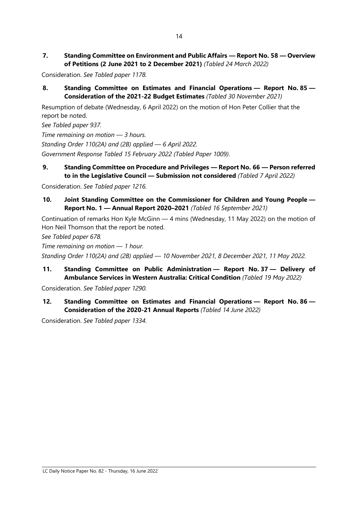**7. Standing Committee on Environment and Public Affairs — Report No. 58 — Overview of Petitions (2 June 2021 to 2 December 2021)** *(Tabled 24 March 2022)*

Consideration. *See Tabled paper 1178.*

**8. Standing Committee on Estimates and Financial Operations — Report No. 85 — Consideration of the 2021-22 Budget Estimates** *(Tabled 30 November 2021)*

Resumption of debate (Wednesday, 6 April 2022) on the motion of Hon Peter Collier that the report be noted.

*See Tabled paper 937.*

*Time remaining on motion — 3 hours. Standing Order 110(2A) and (2B) applied — 6 April 2022. Government Response Tabled 15 February 2022 (Tabled Paper 1009)*.

**9. Standing Committee on Procedure and Privileges — Report No. 66 — Person referred to in the Legislative Council — Submission not considered** *(Tabled 7 April 2022)*

Consideration. *See Tabled paper 1216.*

**10. Joint Standing Committee on the Commissioner for Children and Young People — Report No. 1 — Annual Report 2020–2021** *(Tabled 16 September 2021)*

Continuation of remarks Hon Kyle McGinn — 4 mins (Wednesday, 11 May 2022) on the motion of Hon Neil Thomson that the report be noted.

*See Tabled paper 678.*

*Time remaining on motion — 1 hour.*

*Standing Order 110(2A) and (2B) applied — 10 November 2021, 8 December 2021, 11 May 2022.*

**11. Standing Committee on Public Administration — Report No. 37 — Delivery of Ambulance Services in Western Australia: Critical Condition** *(Tabled 19 May 2022)*

Consideration. *See Tabled paper 1290.*

**12. Standing Committee on Estimates and Financial Operations — Report No. 86 — Consideration of the 2020-21 Annual Reports** *(Tabled 14 June 2022)*

Consideration. *See Tabled paper 1334.*